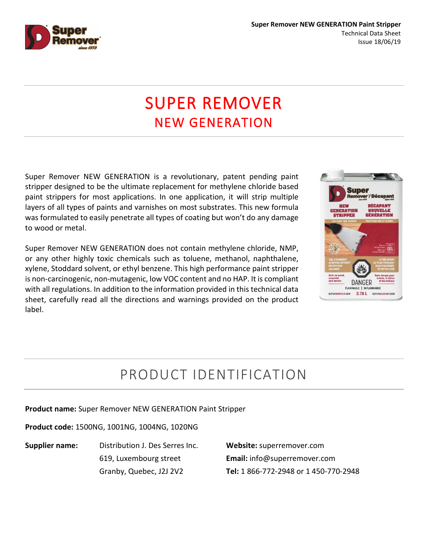

# **SUPER REMOVER**<br>NEW GENERATION

Super Remover NEW GENERATION is a revolutionary, patent pending paint stripper designed to be the ultimate replacement for methylene chloride based paint strippers for most applications. In one application, it will strip multiple layers of all types of paints and varnishes on most substrates. This new formula was formulated to easily penetrate all types of coating but won't do any damage to wood or metal.

Super Remover NEW GENERATION does not contain methylene chloride, NMP, or any other highly toxic chemicals such as toluene, methanol, naphthalene, xylene, Stoddard solvent, or ethyl benzene. This high performance paint stripper is non-carcinogenic, non-mutagenic, low VOC content and no HAP. It is compliant with all regulations. In addition to the information provided in this technical data sheet, carefully read all the directions and warnings provided on the product label.



# PRODUCT IDENTIFICATION

**Product name:** Super Remover NEW GENERATION Paint Stripper

**Product code:** 1500NG, 1001NG, 1004NG, 1020NG

**Supplier name:** Distribution J. Des Serres Inc. 619, Luxembourg street Granby, Quebec, J2J 2V2

**Website:** superremover.com **Email:** info@superremover.com **Tel:** 1 866-772-2948 or 1 450-770-2948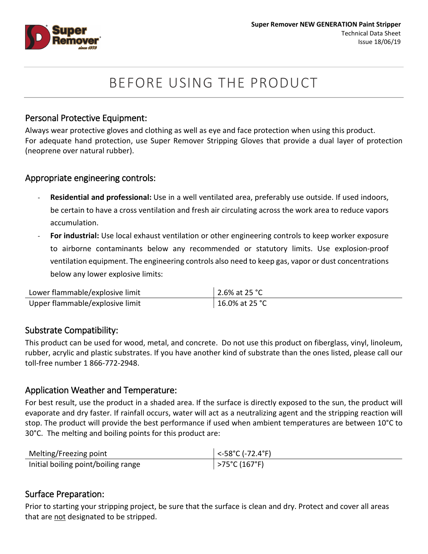

# BEFORE USING THE PRODUCT

## Personal Protective Equipment:

Always wear protective gloves and clothing as well as eye and face protection when using this product. For adequate hand protection, use Super Remover Stripping Gloves that provide a dual layer of protection (neoprene over natural rubber).

## Appropriate engineering controls:

- **Residential and professional:** Use in a well ventilated area, preferably use outside. If used indoors, be certain to have a cross ventilation and fresh air circulating across the work area to reduce vapors accumulation.
- **For industrial:** Use local exhaust ventilation or other engineering controls to keep worker exposure to airborne contaminants below any recommended or statutory limits. Use explosion-proof ventilation equipment. The engineering controls also need to keep gas, vapor or dust concentrations below any lower explosive limits:

| Lower flammable/explosive limit | 2.6% at 25 °C  |
|---------------------------------|----------------|
| Upper flammable/explosive limit | 16.0% at 25 °C |

## Substrate Compatibility:

This product can be used for wood, metal, and concrete. Do not use this product on fiberglass, vinyl, linoleum, rubber, acrylic and plastic substrates. If you have another kind of substrate than the ones listed, please call our toll-free number 1 866-772-2948.

## Application Weather and Temperature:

For best result, use the product in a shaded area. If the surface is directly exposed to the sun, the product will evaporate and dry faster. If rainfall occurs, water will act as a neutralizing agent and the stripping reaction will stop. The product will provide the best performance if used when ambient temperatures are between 10°C to 30°C. The melting and boiling points for this product are:

| Melting/Freezing point              | $\sim$ -58°C (-72.4°F) |
|-------------------------------------|------------------------|
| Initial boiling point/boiling range | >75°C (167°F)          |

## Surface Preparation:

Prior to starting your stripping project, be sure that the surface is clean and dry. Protect and cover all areas that are not designated to be stripped.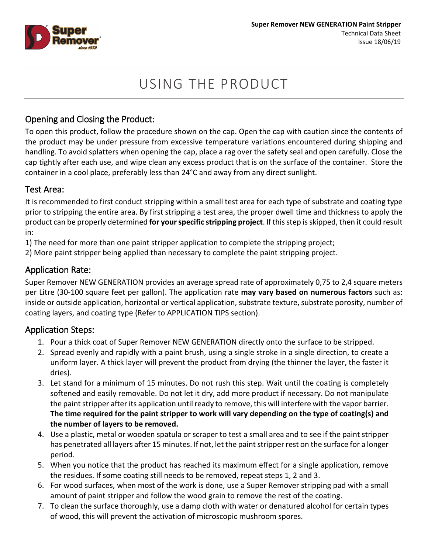

# USING THE PRODUCT

# Opening and Closing the Product:

To open this product, follow the procedure shown on the cap. Open the cap with caution since the contents of the product may be under pressure from excessive temperature variations encountered during shipping and handling. To avoid splatters when opening the cap, place a rag over the safety seal and open carefully. Close the cap tightly after each use, and wipe clean any excess product that is on the surface of the container. Store the container in a cool place, preferably less than 24°C and away from any direct sunlight.

## Test Area:

It is recommended to first conduct stripping within a small test area for each type of substrate and coating type prior to stripping the entire area. By first stripping a test area, the proper dwell time and thickness to apply the product can be properly determined **for yourspecific stripping project**. If this step is skipped, then it could result in:

1) The need for more than one paint stripper application to complete the stripping project;

2) More paint stripper being applied than necessary to complete the paint stripping project.

# Application Rate:

Super Remover NEW GENERATION provides an average spread rate of approximately 0,75 to 2,4 square meters per Litre (30-100 square feet per gallon). The application rate **may vary based on numerous factors** such as: inside or outside application, horizontal or vertical application, substrate texture, substrate porosity, number of coating layers, and coating type (Refer to APPLICATION TIPS section).

# Application Steps:

- 1. Pour a thick coat of Super Remover NEW GENERATION directly onto the surface to be stripped.
- 2. Spread evenly and rapidly with a paint brush, using a single stroke in a single direction, to create a uniform layer. A thick layer will prevent the product from drying (the thinner the layer, the faster it dries).
- 3. Let stand for a minimum of 15 minutes. Do not rush this step. Wait until the coating is completely softened and easily removable. Do not let it dry, add more product if necessary. Do not manipulate the paint stripper after its application until ready to remove, this will interfere with the vapor barrier. **The time required for the paint stripper to work will vary depending on the type of coating(s) and the number of layers to be removed.**
- 4. Use a plastic, metal or wooden spatula or scraper to test a small area and to see if the paint stripper has penetrated all layers after 15 minutes. If not, let the paint stripper rest on the surface for a longer period.
- 5. When you notice that the product has reached its maximum effect for a single application, remove the residues. If some coating still needs to be removed, repeat steps 1, 2 and 3.
- 6. For wood surfaces, when most of the work is done, use a Super Remover stripping pad with a small amount of paint stripper and follow the wood grain to remove the rest of the coating.
- 7. To clean the surface thoroughly, use a damp cloth with water or denatured alcohol for certain types of wood, this will prevent the activation of microscopic mushroom spores.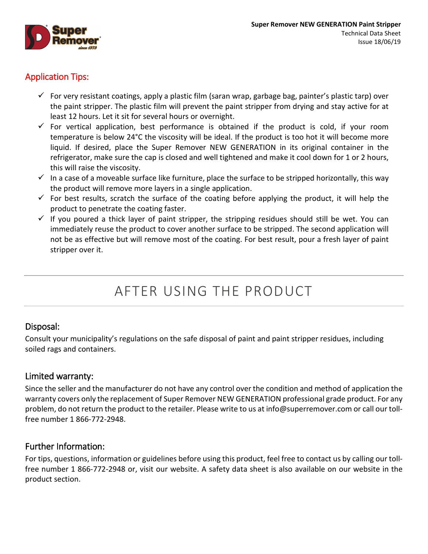

# Application Tips:

- For very resistant coatings, apply a plastic film (saran wrap, garbage bag, painter's plastic tarp) over the paint stripper. The plastic film will prevent the paint stripper from drying and stay active for at least 12 hours. Let it sit for several hours or overnight.
- $\checkmark$  For vertical application, best performance is obtained if the product is cold, if your room temperature is below 24°C the viscosity will be ideal. If the product is too hot it will become more liquid. If desired, place the Super Remover NEW GENERATION in its original container in the refrigerator, make sure the cap is closed and well tightened and make it cool down for 1 or 2 hours, this will raise the viscosity.
- $\checkmark$  In a case of a moveable surface like furniture, place the surface to be stripped horizontally, this way the product will remove more layers in a single application.
- $\checkmark$  For best results, scratch the surface of the coating before applying the product, it will help the product to penetrate the coating faster.
- $\checkmark$  If you poured a thick layer of paint stripper, the stripping residues should still be wet. You can immediately reuse the product to cover another surface to be stripped. The second application will not be as effective but will remove most of the coating. For best result, pour a fresh layer of paint stripper over it.

# AFTER USING THE PRODUCT

# Disposal:

Consult your municipality's regulations on the safe disposal of paint and paint stripper residues, including soiled rags and containers.

# Limited warranty:

Since the seller and the manufacturer do not have any control over the condition and method of application the warranty covers only the replacement of Super Remover NEW GENERATION professional grade product. For any problem, do not return the product to the retailer. Please write to us at [info@superremover.com](mailto:info@superremover.com) or call our tollfree number 1 866-772-2948.

# Further Information:

For tips, questions, information or guidelines before using this product, feel free to contact us by calling our tollfree number 1 866-772-2948 or, visit our website. A safety data sheet is also available on our website in the product section.